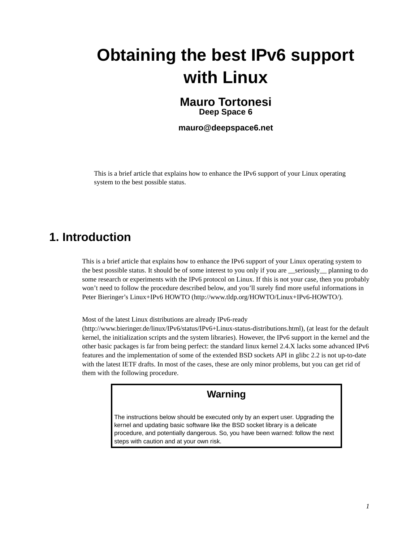# **Obtaining the best IPv6 support with Linux**

### **Mauro Tortonesi Deep Space 6**

**mauro@deepspace6.net**

This is a brief article that explains how to enhance the IPv6 support of your Linux operating system to the best possible status.

## **1. Introduction**

This is a brief article that explains how to enhance the IPv6 support of your Linux operating system to the best possible status. It should be of some interest to you only if you are seriously planning to do some research or experiments with the IPv6 protocol on Linux. If this is not your case, then you probably won't need to follow the procedure described below, and you'll surely find more useful informations in Peter Bieringer's Linux+IPv6 HOWTO (http://www.tldp.org/HOWTO/Linux+IPv6-HOWTO/).

Most of the latest Linux distributions are already IPv6-ready

(http://www.bieringer.de/linux/IPv6/status/IPv6+Linux-status-distributions.html), (at least for the default kernel, the initialization scripts and the system libraries). However, the IPv6 support in the kernel and the other basic packages is far from being perfect: the standard linux kernel 2.4.X lacks some advanced IPv6 features and the implementation of some of the extended BSD sockets API in glibc 2.2 is not up-to-date with the latest IETF drafts. In most of the cases, these are only minor problems, but you can get rid of them with the following procedure.

### **Warning**

The instructions below should be executed only by an expert user. Upgrading the kernel and updating basic software like the BSD socket library is a delicate procedure, and potentially dangerous. So, you have been warned: follow the next steps with caution and at your own risk.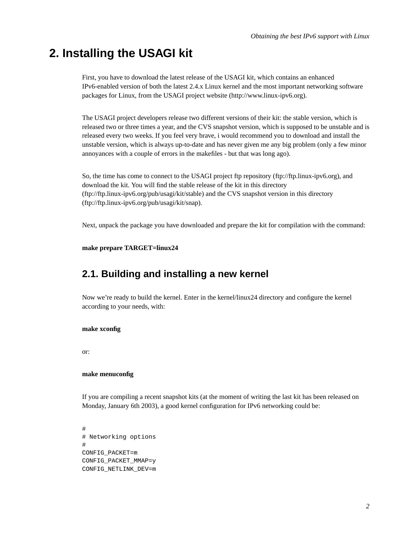# **2. Installing the USAGI kit**

First, you have to download the latest release of the USAGI kit, which contains an enhanced IPv6-enabled version of both the latest 2.4.x Linux kernel and the most important networking software packages for Linux, from the USAGI project website (http://www.linux-ipv6.org).

The USAGI project developers release two different versions of their kit: the stable version, which is released two or three times a year, and the CVS snapshot version, which is supposed to be unstable and is released every two weeks. If you feel very brave, i would recommend you to download and install the unstable version, which is always up-to-date and has never given me any big problem (only a few minor annoyances with a couple of errors in the makefiles - but that was long ago).

So, the time has come to connect to the USAGI project ftp repository (ftp://ftp.linux-ipv6.org), and download the kit. You will find the stable release of the kit in this directory (ftp://ftp.linux-ipv6.org/pub/usagi/kit/stable) and the CVS snapshot version in this directory (ftp://ftp.linux-ipv6.org/pub/usagi/kit/snap).

Next, unpack the package you have downloaded and prepare the kit for compilation with the command:

#### **make prepare TARGET=linux24**

### **2.1. Building and installing a new kernel**

Now we're ready to build the kernel. Enter in the kernel/linux24 directory and configure the kernel according to your needs, with:

#### **make xconfig**

or:

#### **make menuconfig**

If you are compiling a recent snapshot kits (at the moment of writing the last kit has been released on Monday, January 6th 2003), a good kernel configuration for IPv6 networking could be:

# # Networking options # CONFIG\_PACKET=m CONFIG\_PACKET\_MMAP=y CONFIG\_NETLINK\_DEV=m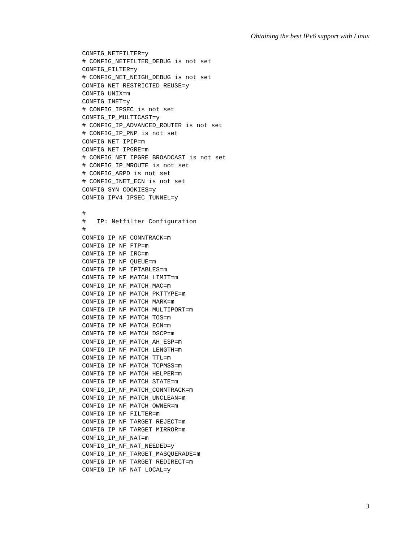```
CONFIG_NETFILTER=y
# CONFIG_NETFILTER_DEBUG is not set
CONFIG_FILTER=y
# CONFIG_NET_NEIGH_DEBUG is not set
CONFIG_NET_RESTRICTED_REUSE=y
CONFIG_UNIX=m
CONFIG_INET=y
# CONFIG_IPSEC is not set
CONFIG_IP_MULTICAST=y
# CONFIG_IP_ADVANCED_ROUTER is not set
# CONFIG_IP_PNP is not set
CONFIG_NET_IPIP=m
CONFIG_NET_IPGRE=m
# CONFIG_NET_IPGRE_BROADCAST is not set
# CONFIG_IP_MROUTE is not set
# CONFIG_ARPD is not set
# CONFIG_INET_ECN is not set
CONFIG_SYN_COOKIES=y
CONFIG_IPV4_IPSEC_TUNNEL=y
#
# IP: Netfilter Configuration
#
CONFIG_IP_NF_CONNTRACK=m
CONFIG_IP_NF_FTP=m
CONFIG_IP_NF_IRC=m
CONFIG_IP_NF_QUEUE=m
CONFIG_IP_NF_IPTABLES=m
CONFIG_IP_NF_MATCH_LIMIT=m
CONFIG_IP_NF_MATCH_MAC=m
CONFIG_IP_NF_MATCH_PKTTYPE=m
CONFIG_IP_NF_MATCH_MARK=m
CONFIG_IP_NF_MATCH_MULTIPORT=m
CONFIG_IP_NF_MATCH_TOS=m
CONFIG_IP_NF_MATCH_ECN=m
CONFIG_IP_NF_MATCH_DSCP=m
CONFIG_IP_NF_MATCH_AH_ESP=m
CONFIG_IP_NF_MATCH_LENGTH=m
CONFIG_IP_NF_MATCH_TTL=m
CONFIG_IP_NF_MATCH_TCPMSS=m
CONFIG_IP_NF_MATCH_HELPER=m
CONFIG_IP_NF_MATCH_STATE=m
CONFIG_IP_NF_MATCH_CONNTRACK=m
CONFIG_IP_NF_MATCH_UNCLEAN=m
CONFIG_IP_NF_MATCH_OWNER=m
CONFIG_IP_NF_FILTER=m
CONFIG_IP_NF_TARGET_REJECT=m
CONFIG_IP_NF_TARGET_MIRROR=m
CONFIG_IP_NF_NAT=m
CONFIG_IP_NF_NAT_NEEDED=y
CONFIG_IP_NF_TARGET_MASQUERADE=m
CONFIG_IP_NF_TARGET_REDIRECT=m
CONFIG_IP_NF_NAT_LOCAL=y
```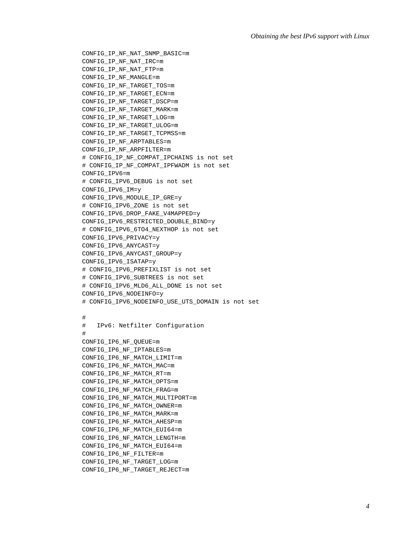```
CONFIG_IP_NF_NAT_SNMP_BASIC=m
CONFIG_IP_NF_NAT_IRC=m
CONFIG_IP_NF_NAT_FTP=m
CONFIG_IP_NF_MANGLE=m
CONFIG_IP_NF_TARGET_TOS=m
CONFIG_IP_NF_TARGET_ECN=m
CONFIG_IP_NF_TARGET_DSCP=m
CONFIG_IP_NF_TARGET_MARK=m
CONFIG_IP_NF_TARGET_LOG=m
CONFIG_IP_NF_TARGET_ULOG=m
CONFIG_IP_NF_TARGET_TCPMSS=m
CONFIG_IP_NF_ARPTABLES=m
CONFIG_IP_NF_ARPFILTER=m
# CONFIG_IP_NF_COMPAT_IPCHAINS is not set
# CONFIG_IP_NF_COMPAT_IPFWADM is not set
CONFIG_IPV6=m
# CONFIG_IPV6_DEBUG is not set
CONFIG_IPV6_IM=y
CONFIG_IPV6_MODULE_IP_GRE=y
# CONFIG_IPV6_ZONE is not set
CONFIG_IPV6_DROP_FAKE_V4MAPPED=y
CONFIG_IPV6_RESTRICTED_DOUBLE_BIND=y
# CONFIG_IPV6_6TO4_NEXTHOP is not set
CONFIG_IPV6_PRIVACY=y
CONFIG_IPV6_ANYCAST=y
CONFIG_IPV6_ANYCAST_GROUP=y
CONFIG_IPV6_ISATAP=y
# CONFIG_IPV6_PREFIXLIST is not set
# CONFIG_IPV6_SUBTREES is not set
# CONFIG_IPV6_MLD6_ALL_DONE is not set
CONFIG_IPV6_NODEINFO=y
# CONFIG_IPV6_NODEINFO_USE_UTS_DOMAIN is not set
#
# IPv6: Netfilter Configuration
#
CONFIG_IP6_NF_QUEUE=m
CONFIG_IP6_NF_IPTABLES=m
CONFIG_IP6_NF_MATCH_LIMIT=m
CONFIG_IP6_NF_MATCH_MAC=m
CONFIG_IP6_NF_MATCH_RT=m
CONFIG_IP6_NF_MATCH_OPTS=m
CONFIG_IP6_NF_MATCH_FRAG=m
CONFIG_IP6_NF_MATCH_MULTIPORT=m
CONFIG_IP6_NF_MATCH_OWNER=m
CONFIG_IP6_NF_MATCH_MARK=m
CONFIG_IP6_NF_MATCH_AHESP=m
CONFIG_IP6_NF_MATCH_EUI64=m
CONFIG_IP6_NF_MATCH_LENGTH=m
CONFIG_IP6_NF_MATCH_EUI64=m
CONFIG_IP6_NF_FILTER=m
CONFIG_IP6_NF_TARGET_LOG=m
CONFIG_IP6_NF_TARGET_REJECT=m
```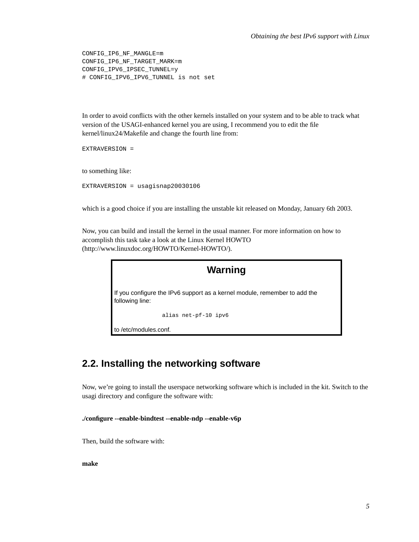CONFIG\_IP6\_NF\_MANGLE=m CONFIG\_IP6\_NF\_TARGET\_MARK=m CONFIG\_IPV6\_IPSEC\_TUNNEL=y # CONFIG\_IPV6\_IPV6\_TUNNEL is not set

In order to avoid conflicts with the other kernels installed on your system and to be able to track what version of the USAGI-enhanced kernel you are using, I recommend you to edit the file kernel/linux24/Makefile and change the fourth line from:

EXTRAVERSION =

to something like:

EXTRAVERSION = usagisnap20030106

which is a good choice if you are installing the unstable kit released on Monday, January 6th 2003.

Now, you can build and install the kernel in the usual manner. For more information on how to accomplish this task take a look at the Linux Kernel HOWTO (http://www.linuxdoc.org/HOWTO/Kernel-HOWTO/).



### **2.2. Installing the networking software**

Now, we're going to install the userspace networking software which is included in the kit. Switch to the usagi directory and configure the software with:

**./configure --enable-bindtest --enable-ndp --enable-v6p**

Then, build the software with:

**make**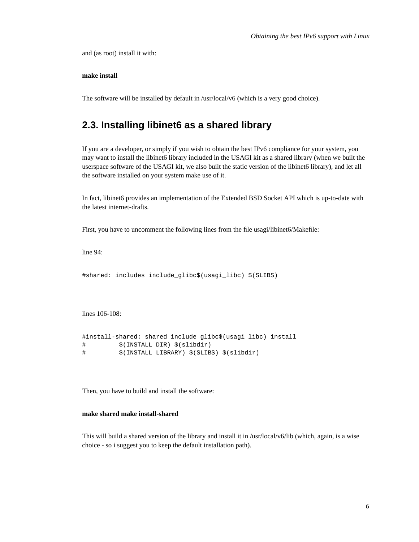and (as root) install it with:

#### **make install**

The software will be installed by default in /usr/local/v6 (which is a very good choice).

### **2.3. Installing libinet6 as a shared library**

If you are a developer, or simply if you wish to obtain the best IPv6 compliance for your system, you may want to install the libinet6 library included in the USAGI kit as a shared library (when we built the userspace software of the USAGI kit, we also built the static version of the libinet6 library), and let all the software installed on your system make use of it.

In fact, libinet6 provides an implementation of the Extended BSD Socket API which is up-to-date with the latest internet-drafts.

First, you have to uncomment the following lines from the file usagi/libinet6/Makefile:

line 94:

#shared: includes include\_glibc\$(usagi\_libc) \$(SLIBS)

lines 106-108:

```
#install-shared: shared include_glibc$(usagi_libc)_install
# $(INSTALL_DIR) $(slibdir)
# $(INSTALL_LIBRARY) $(SLIBS) $(slibdir)
```
Then, you have to build and install the software:

#### **make shared make install-shared**

This will build a shared version of the library and install it in /usr/local/v6/lib (which, again, is a wise choice - so i suggest you to keep the default installation path).